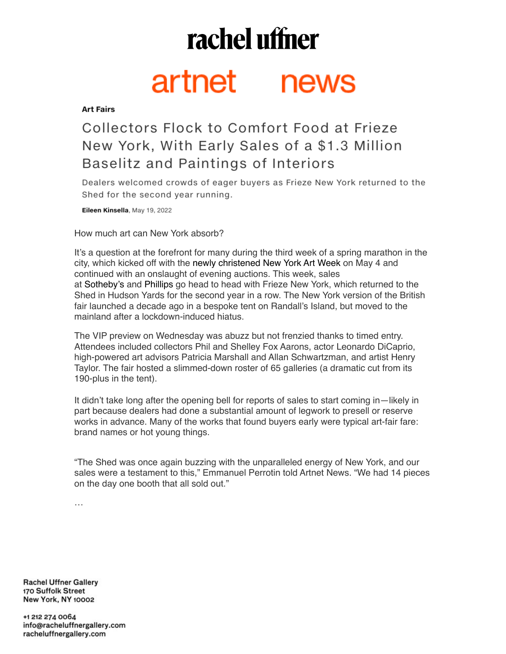## rachel uffner

## artnet news

**Art Fairs** 

## Collectors Flock to Comfort Food at Frieze New York, With Early Sales of a \$1.3 Million Baselitz and Paintings of Interiors

Dealers welcomed crowds of eager buyers as Frieze New York returned to the Shed for the second year running.

Eileen Kinsella, May 19, 2022

How much art can New York absorb?

It's a question at the forefront for many during the third week of a spring marathon in the city, which kicked off with the newly christened New York Art Week on May 4 and continued with an onslaught of evening auctions. This week, sales at Sotheby's and Phillips go head to head with Frieze New York, which returned to the Shed in Hudson Yards for the second year in a row. The New York version of the British fair launched a decade ago in a bespoke tent on Randall's Island, but moved to the mainland after a lockdown-induced hiatus.

The VIP preview on Wednesday was abuzz but not frenzied thanks to timed entry. Attendees included collectors Phil and Shelley Fox Aarons, actor Leonardo DiCaprio, high-powered art advisors Patricia Marshall and Allan Schwartzman, and artist Henry Taylor. The fair hosted a slimmed-down roster of 65 galleries (a dramatic cut from its 190-plus in the tent).

It didn't take long after the opening bell for reports of sales to start coming in—likely in part because dealers had done a substantial amount of legwork to presell or reserve works in advance. Many of the works that found buyers early were typical art-fair fare: brand names or hot young things.

"The Shed was once again buzzing with the unparalleled energy of New York, and our sales were a testament to this," Emmanuel Perrotin told Artnet News. "We had 14 pieces on the day one booth that all sold out."

…

**Rachel Uffner Gallery** 170 Suffolk Street New York, NY 10002

+1 212 274 0064 info@racheluffnergallery.com racheluffnergallery.com